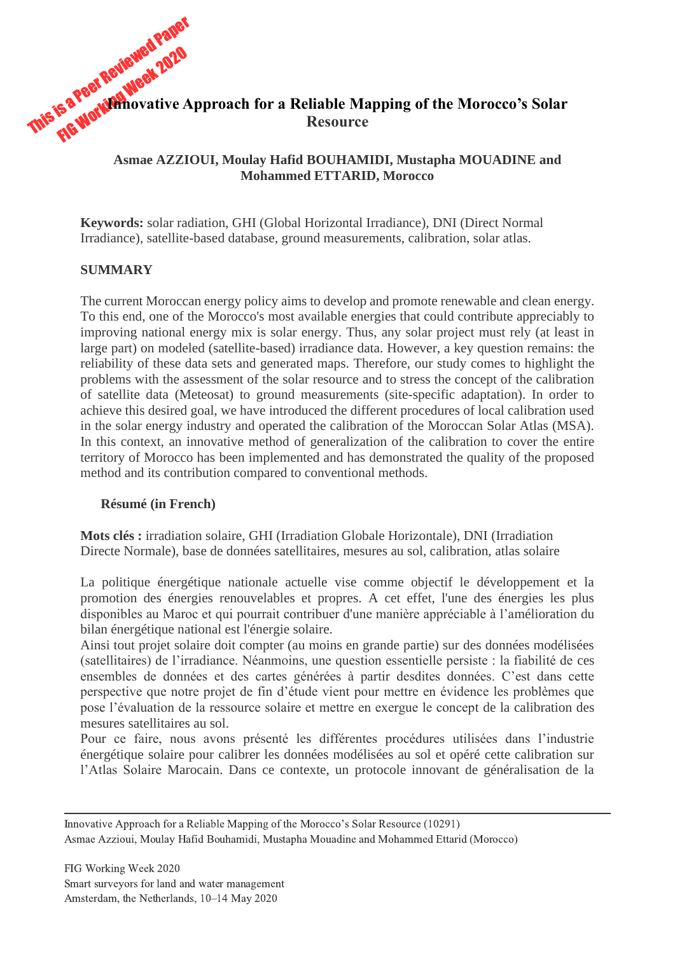

# **Asmae AZZIOUI, Moulay Hafid BOUHAMIDI, Mustapha MOUADINE and Mohammed ETTARID, Morocco**

**Keywords:** solar radiation, GHI (Global Horizontal Irradiance), DNI (Direct Normal Irradiance), satellite-based database, ground measurements, calibration, solar atlas.

# **SUMMARY**

The current Moroccan energy policy aims to develop and promote renewable and clean energy. To this end, one of the Morocco's most available energies that could contribute appreciably to improving national energy mix is solar energy. Thus, any solar project must rely (at least in large part) on modeled (satellite-based) irradiance data. However, a key question remains: the reliability of these data sets and generated maps. Therefore, our study comes to highlight the problems with the assessment of the solar resource and to stress the concept of the calibration of satellite data (Meteosat) to ground measurements (site-specific adaptation). In order to achieve this desired goal, we have introduced the different procedures of local calibration used in the solar energy industry and operated the calibration of the Moroccan Solar Atlas (MSA). In this context, an innovative method of generalization of the calibration to cover the entire territory of Morocco has been implemented and has demonstrated the quality of the proposed method and its contribution compared to conventional methods.

# **Résumé (in French)**

**Mots clés :** irradiation solaire, GHI (Irradiation Globale Horizontale), DNI (Irradiation Directe Normale), base de données satellitaires, mesures au sol, calibration, atlas solaire

La politique énergétique nationale actuelle vise comme objectif le développement et la promotion des énergies renouvelables et propres. A cet effet, l'une des énergies les plus disponibles au Maroc et qui pourrait contribuer d'une manière appréciable à l'amélioration du bilan énergétique national est l'énergie solaire.

Ainsi tout projet solaire doit compter (au moins en grande partie) sur des données modélisées (satellitaires) de l'irradiance. Néanmoins, une question essentielle persiste : la fiabilité de ces ensembles de données et des cartes générées à partir desdites données. C'est dans cette perspective que notre projet de fin d'étude vient pour mettre en évidence les problèmes que pose l'évaluation de la ressource solaire et mettre en exergue le concept de la calibration des mesures satellitaires au sol.

Pour ce faire, nous avons présenté les différentes procédures utilisées dans l'industrie énergétique solaire pour calibrer les données modélisées au sol et opéré cette calibration sur l'Atlas Solaire Marocain. Dans ce contexte, un protocole innovant de généralisation de la

Innovative Approach for a Reliable Mapping of the Morocco's Solar Resource (10291) Asmae Azzioui, Moulay Hafid Bouhamidi, Mustapha Mouadine and Mohammed Ettarid (Morocco)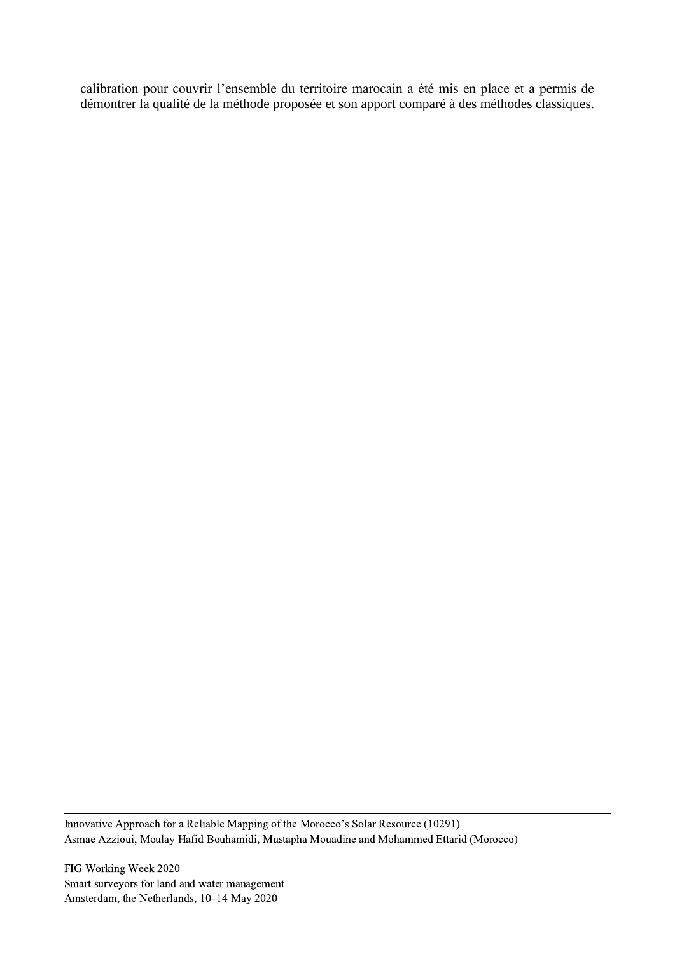calibration pour couvrir l'ensemble du territoire marocain a été mis en place et a permis de démontrer la qualité de la méthode proposée et son apport comparé à des méthodes classiques.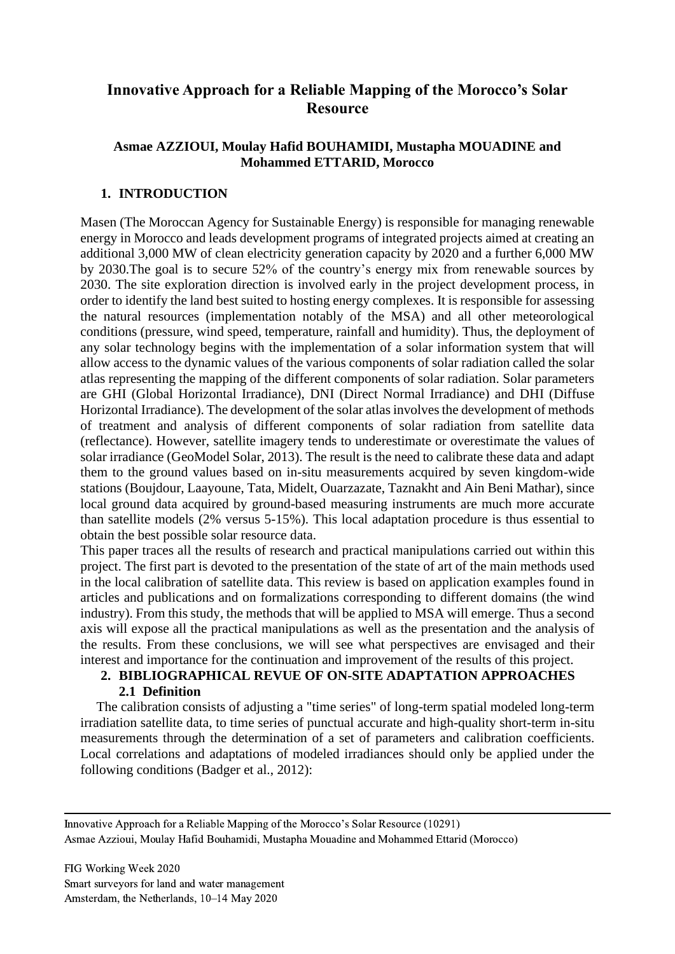# **Innovative Approach for a Reliable Mapping of the Morocco's Solar Resource**

# **Asmae AZZIOUI, Moulay Hafid BOUHAMIDI, Mustapha MOUADINE and Mohammed ETTARID, Morocco**

# **1. INTRODUCTION**

Masen (The Moroccan Agency for Sustainable Energy) is responsible for managing renewable energy in Morocco and leads development programs of integrated projects aimed at creating an additional 3,000 MW of clean electricity generation capacity by 2020 and a further 6,000 MW by 2030.The goal is to secure 52% of the country's energy mix from renewable sources by 2030. The site exploration direction is involved early in the project development process, in order to identify the land best suited to hosting energy complexes. It is responsible for assessing the natural resources (implementation notably of the MSA) and all other meteorological conditions (pressure, wind speed, temperature, rainfall and humidity). Thus, the deployment of any solar technology begins with the implementation of a solar information system that will allow access to the dynamic values of the various components of solar radiation called the solar atlas representing the mapping of the different components of solar radiation. Solar parameters are GHI (Global Horizontal Irradiance), DNI (Direct Normal Irradiance) and DHI (Diffuse Horizontal Irradiance). The development of the solar atlas involves the development of methods of treatment and analysis of different components of solar radiation from satellite data (reflectance). However, satellite imagery tends to underestimate or overestimate the values of solar irradiance (GeoModel Solar, 2013). The result is the need to calibrate these data and adapt them to the ground values based on in-situ measurements acquired by seven kingdom-wide stations (Boujdour, Laayoune, Tata, Midelt, Ouarzazate, Taznakht and Ain Beni Mathar), since local ground data acquired by ground-based measuring instruments are much more accurate than satellite models (2% versus 5-15%). This local adaptation procedure is thus essential to obtain the best possible solar resource data.

This paper traces all the results of research and practical manipulations carried out within this project. The first part is devoted to the presentation of the state of art of the main methods used in the local calibration of satellite data. This review is based on application examples found in articles and publications and on formalizations corresponding to different domains (the wind industry). From this study, the methods that will be applied to MSA will emerge. Thus a second axis will expose all the practical manipulations as well as the presentation and the analysis of the results. From these conclusions, we will see what perspectives are envisaged and their interest and importance for the continuation and improvement of the results of this project.

# **2. BIBLIOGRAPHICAL REVUE OF ON-SITE ADAPTATION APPROACHES 2.1 Definition**

The calibration consists of adjusting a "time series" of long-term spatial modeled long-term irradiation satellite data, to time series of punctual accurate and high-quality short-term in-situ measurements through the determination of a set of parameters and calibration coefficients. Local correlations and adaptations of modeled irradiances should only be applied under the following conditions (Badger et al., 2012):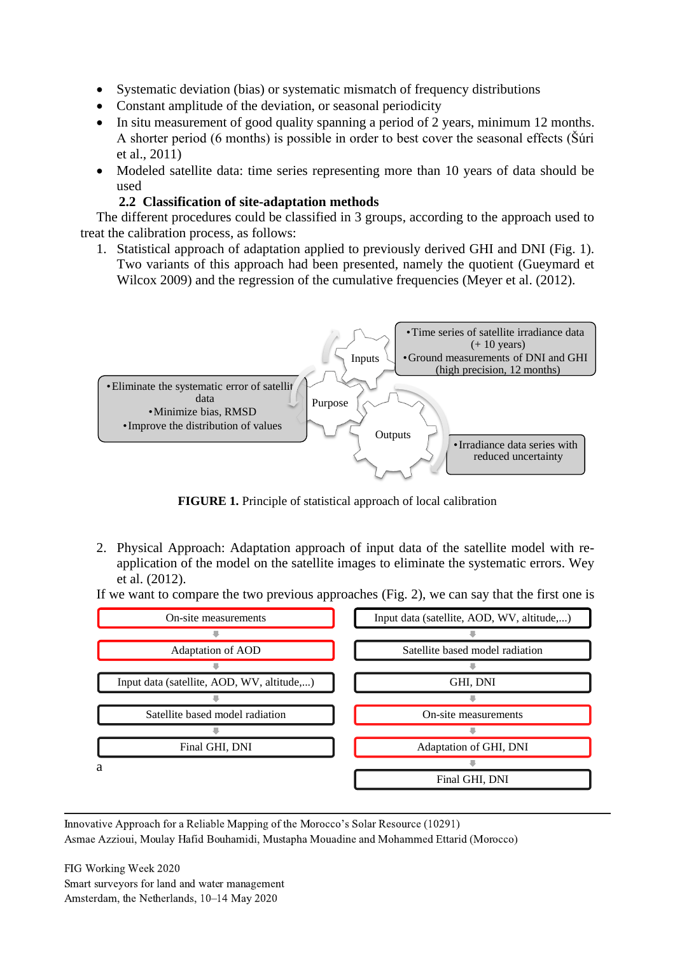- Systematic deviation (bias) or systematic mismatch of frequency distributions
- Constant amplitude of the deviation, or seasonal periodicity
- In situ measurement of good quality spanning a period of 2 years, minimum 12 months. A shorter period (6 months) is possible in order to best cover the seasonal effects (Šúri et al., 2011)
- Modeled satellite data: time series representing more than 10 years of data should be used

# **2.2 Classification of site-adaptation methods**

The different procedures could be classified in 3 groups, according to the approach used to treat the calibration process, as follows:

1. Statistical approach of adaptation applied to previously derived GHI and DNI (Fig. 1). Two variants of this approach had been presented, namely the quotient (Gueymard et Wilcox 2009) and the regression of the cumulative frequencies (Meyer et al. (2012).



**FIGURE 1.** Principle of statistical approach of local calibration

2. Physical Approach: Adaptation approach of input data of the satellite model with reapplication of the model on the satellite images to eliminate the systematic errors. Wey et al. (2012).

If we want to compare the two previous approaches (Fig. 2), we can say that the first one is

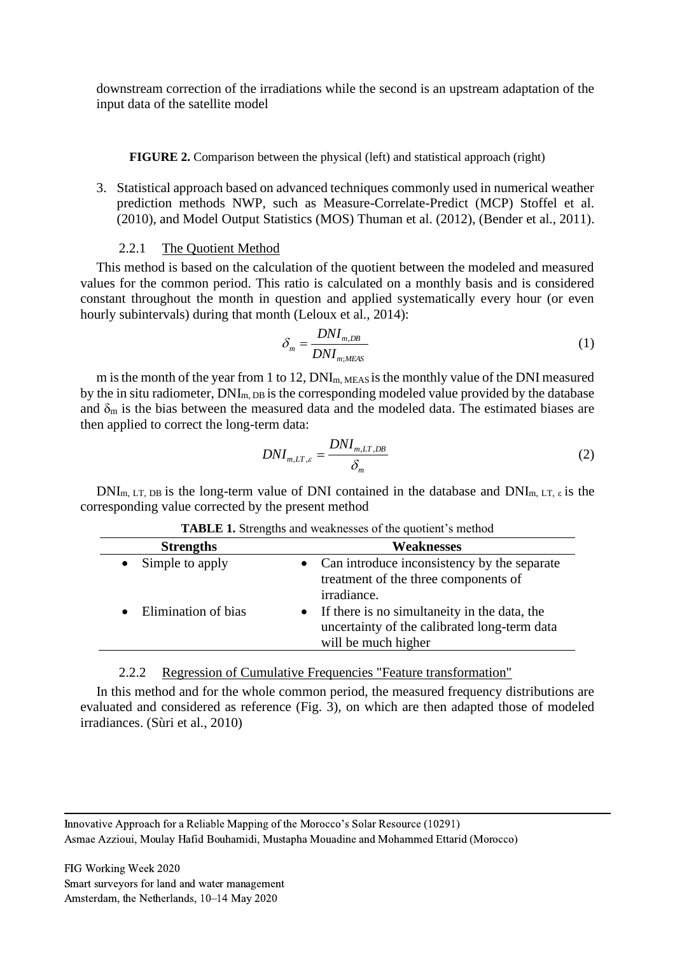downstream correction of the irradiations while the second is an upstream adaptation of the input data of the satellite model

### **FIGURE 2.** Comparison between the physical (left) and statistical approach (right)

3. Statistical approach based on advanced techniques commonly used in numerical weather prediction methods NWP, such as Measure-Correlate-Predict (MCP) Stoffel et al. (2010), and Model Output Statistics (MOS) Thuman et al. (2012), (Bender et al., 2011).

# 2.2.1 The Quotient Method

This method is based on the calculation of the quotient between the modeled and measured values for the common period. This ratio is calculated on a monthly basis and is considered constant throughout the month in question and applied systematically every hour (or even hourly subintervals) during that month (Leloux et al., 2014):

$$
\delta_m = \frac{DNI_{m,DB}}{DNI_{m;MEAS}}
$$
 (1)

m is the month of the year from 1 to 12,  $DNI_{m,MEAS}$  is the monthly value of the DNI measured by the in situ radiometer,  $DNI_{m,DR}$  is the corresponding modeled value provided by the database and  $\delta_m$  is the bias between the measured data and the modeled data. The estimated biases are then applied to correct the long-term data:

$$
DNI_{m,LT,\varepsilon} = \frac{DNI_{m,LT,DB}}{\delta_m} \tag{2}
$$

 $DNI<sub>m, LT, DB</sub>$  is the long-term value of DNI contained in the database and  $DNI<sub>m, LT, ε</sub>$  is the corresponding value corrected by the present method

| <b>Strengths</b>             | Weaknesses                                                                                                                       |
|------------------------------|----------------------------------------------------------------------------------------------------------------------------------|
| Simple to apply<br>$\bullet$ | Can introduce inconsistency by the separate<br>treatment of the three components of<br>irradiance.                               |
| Elimination of bias          | If there is no simultaneity in the data, the<br>$\bullet$<br>uncertainty of the calibrated long-term data<br>will be much higher |
|                              |                                                                                                                                  |

|  |  |  |  |  | <b>TABLE 1.</b> Strengths and weaknesses of the quotient's method |  |  |  |
|--|--|--|--|--|-------------------------------------------------------------------|--|--|--|
|--|--|--|--|--|-------------------------------------------------------------------|--|--|--|

2.2.2 Regression of Cumulative Frequencies "Feature transformation"

In this method and for the whole common period, the measured frequency distributions are evaluated and considered as reference (Fig. 3), on which are then adapted those of modeled irradiances. (Sùri et al., 2010)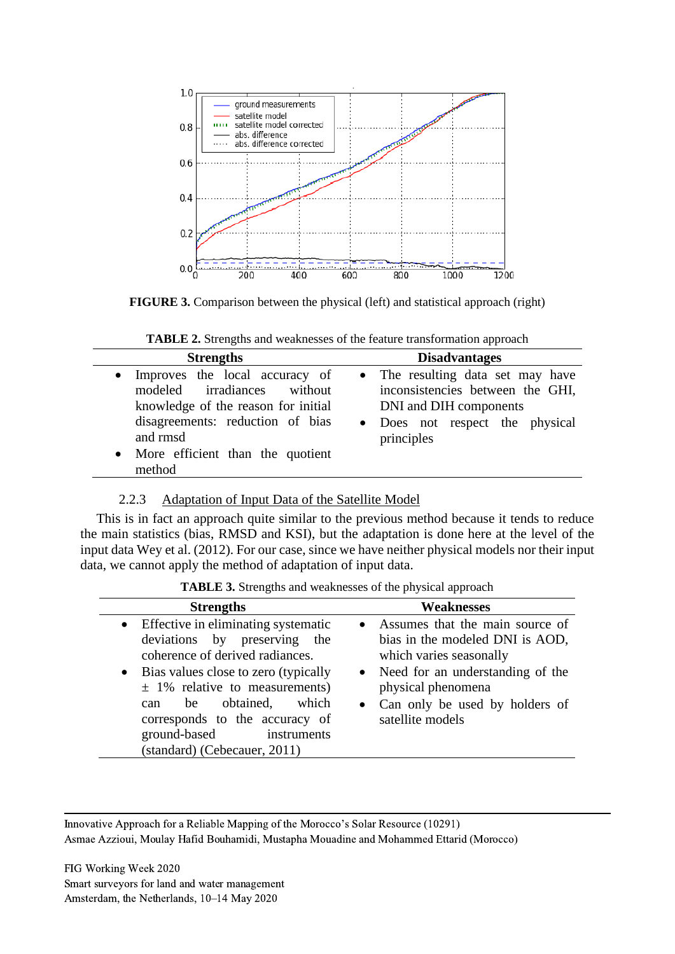

**FIGURE 3.** Comparison between the physical (left) and statistical approach (right)

**TABLE 2.** Strengths and weaknesses of the feature transformation approach

| • Improves the local accuracy of<br>modeled irradiances without<br>knowledge of the reason for initial<br>DNI and DIH components<br>disagreements: reduction of bias | <b>Strengths</b> | <b>Disadvantages</b>                                                                                                   |
|----------------------------------------------------------------------------------------------------------------------------------------------------------------------|------------------|------------------------------------------------------------------------------------------------------------------------|
| • More efficient than the quotient<br>method                                                                                                                         | and rmsd         | • The resulting data set may have<br>inconsistencies between the GHI,<br>• Does not respect the physical<br>principles |

# 2.2.3 Adaptation of Input Data of the Satellite Model

This is in fact an approach quite similar to the previous method because it tends to reduce the main statistics (bias, RMSD and KSI), but the adaptation is done here at the level of the input data Wey et al. (2012). For our case, since we have neither physical models nor their input data, we cannot apply the method of adaptation of input data.

**TABLE 3.** Strengths and weaknesses of the physical approach

| <b>Strengths</b>                                                                                                                                                                                                                                                                                                             | Weaknesses                                                                                                                                                                                                          |
|------------------------------------------------------------------------------------------------------------------------------------------------------------------------------------------------------------------------------------------------------------------------------------------------------------------------------|---------------------------------------------------------------------------------------------------------------------------------------------------------------------------------------------------------------------|
| • Effective in eliminating systematic<br>deviations by preserving the<br>coherence of derived radiances.<br>• Bias values close to zero (typically<br>$\pm$ 1% relative to measurements)<br>which<br>obtained,<br>be<br>can<br>corresponds to the accuracy of<br>ground-based<br>instruments<br>(standard) (Cebecauer, 2011) | • Assumes that the main source of<br>bias in the modeled DNI is AOD,<br>which varies seasonally<br>• Need for an understanding of the<br>physical phenomena<br>• Can only be used by holders of<br>satellite models |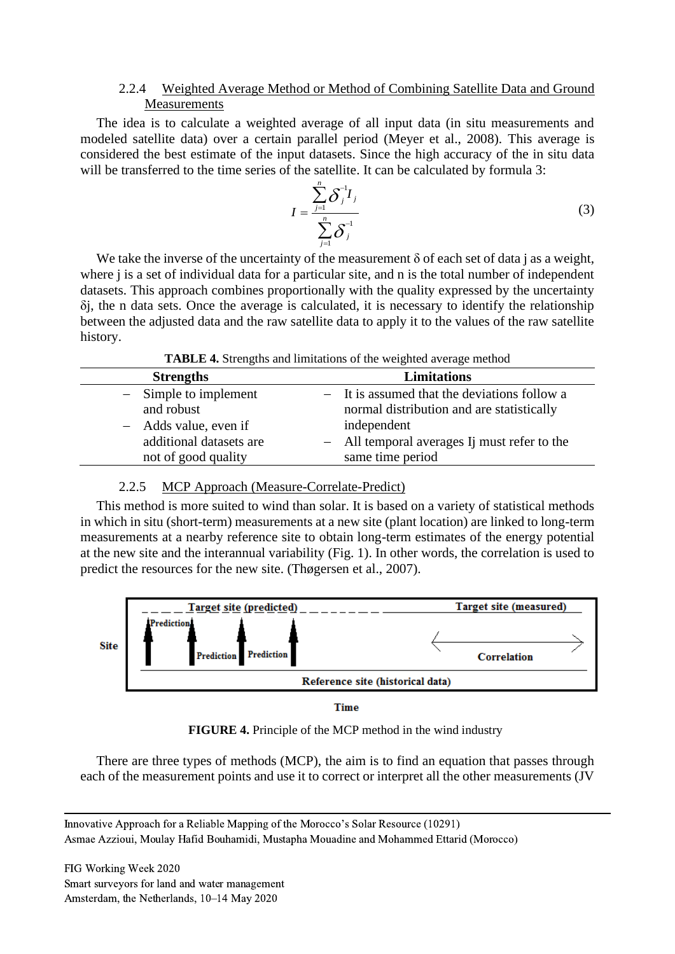# 2.2.4 Weighted Average Method or Method of Combining Satellite Data and Ground **Measurements**

The idea is to calculate a weighted average of all input data (in situ measurements and modeled satellite data) over a certain parallel period (Meyer et al., 2008). This average is considered the best estimate of the input datasets. Since the high accuracy of the in situ data will be transferred to the time series of the satellite. It can be calculated by formula 3:

$$
I = \frac{\sum_{j=1}^{n} \delta_j^{-1} I_j}{\sum_{j=1}^{n} \delta_j^{-1}}
$$
 (3)

We take the inverse of the uncertainty of the measurement  $\delta$  of each set of data j as a weight, where *j* is a set of individual data for a particular site, and *n* is the total number of independent datasets. This approach combines proportionally with the quality expressed by the uncertainty δj, the n data sets. Once the average is calculated, it is necessary to identify the relationship between the adjusted data and the raw satellite data to apply it to the values of the raw satellite history.

| <b>Strengths</b>        | <b>Limitations</b>                           |
|-------------------------|----------------------------------------------|
| $-$ Simple to implement | - It is assumed that the deviations follow a |
| and robust              | normal distribution and are statistically    |
| - Adds value, even if   | independent                                  |
| additional datasets are | - All temporal averages Ij must refer to the |
| not of good quality     | same time period                             |

| TABLE 4. Strengths and limitations of the weighted average method |  |
|-------------------------------------------------------------------|--|
|-------------------------------------------------------------------|--|

### 2.2.5 MCP Approach (Measure-Correlate-Predict)

This method is more suited to wind than solar. It is based on a variety of statistical methods in which in situ (short-term) measurements at a new site (plant location) are linked to long-term measurements at a nearby reference site to obtain long-term estimates of the energy potential at the new site and the interannual variability (Fig. 1). In other words, the correlation is used to predict the resources for the new site. (Thøgersen et al., 2007).



Time

**FIGURE 4.** Principle of the MCP method in the wind industry

There are three types of methods (MCP), the aim is to find an equation that passes through each of the measurement points and use it to correct or interpret all the other measurements (JV

Innovative Approach for a Reliable Mapping of the Morocco's Solar Resource (10291) Asmae Azzioui, Moulay Hafid Bouhamidi, Mustapha Mouadine and Mohammed Ettarid (Morocco)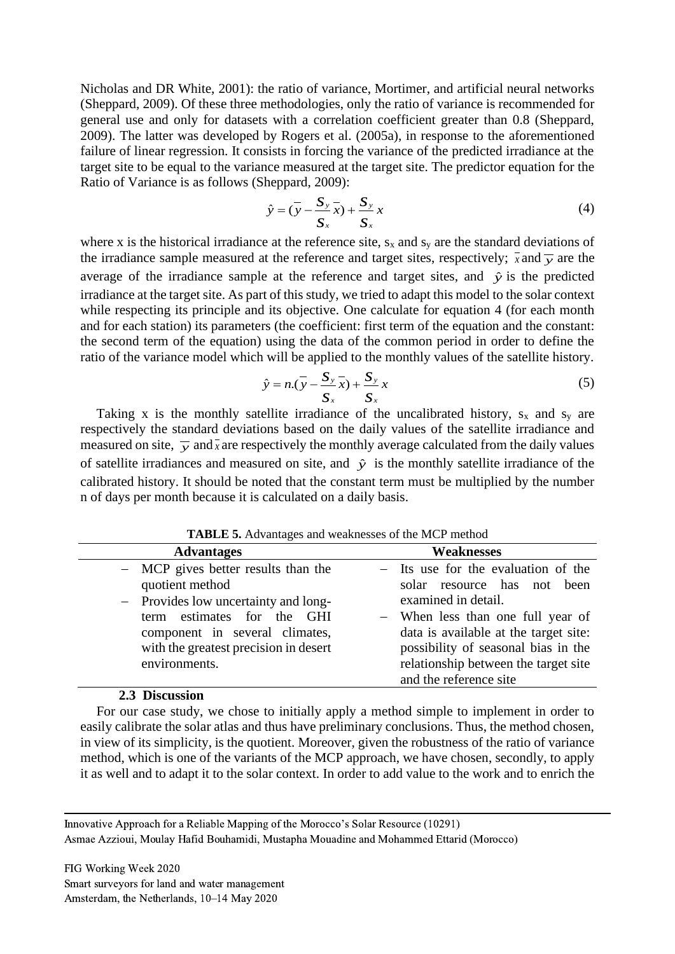Nicholas and DR White, 2001): the ratio of variance, Mortimer, and artificial neural networks (Sheppard, 2009). Of these three methodologies, only the ratio of variance is recommended for general use and only for datasets with a correlation coefficient greater than 0.8 (Sheppard, 2009). The latter was developed by Rogers et al. (2005a), in response to the aforementioned failure of linear regression. It consists in forcing the variance of the predicted irradiance at the target site to be equal to the variance measured at the target site. The predictor equation for the Ratio of Variance is as follows (Sheppard, 2009):

$$
\hat{y} = (\overline{y} - \frac{S_y}{S_x}\overline{x}) + \frac{S_y}{S_x}x
$$
\n(4)

where x is the historical irradiance at the reference site,  $s_x$  and  $s_y$  are the standard deviations of the irradiance sample measured at the reference and target sites, respectively;  $\bar{x}$  and  $\bar{y}$  are the average of the irradiance sample at the reference and target sites, and  $\hat{y}$  is the predicted irradiance at the target site. As part of this study, we tried to adapt this model to the solar context while respecting its principle and its objective. One calculate for equation 4 (for each month and for each station) its parameters (the coefficient: first term of the equation and the constant: the second term of the equation) using the data of the common period in order to define the ratio of the variance model which will be applied to the monthly values of the satellite history.

$$
\hat{y} = n\left(\overline{y} - \frac{S_y}{S_x}\overline{x}\right) + \frac{S_y}{S_x}x\tag{5}
$$

Taking x is the monthly satellite irradiance of the uncalibrated history,  $s_x$  and  $s_y$  are respectively the standard deviations based on the daily values of the satellite irradiance and measured on site,  $\bar{y}$  and  $\bar{x}$  are respectively the monthly average calculated from the daily values of satellite irradiances and measured on site, and  $\hat{y}$  is the monthly satellite irradiance of the calibrated history. It should be noted that the constant term must be multiplied by the number n of days per month because it is calculated on a daily basis.

| <b>TADLE 3.</b> Advantages and weaknesses of the MCF method                                                                                                                                                                 |                                                                                                                                                                                                                                                                                  |
|-----------------------------------------------------------------------------------------------------------------------------------------------------------------------------------------------------------------------------|----------------------------------------------------------------------------------------------------------------------------------------------------------------------------------------------------------------------------------------------------------------------------------|
| <b>Advantages</b>                                                                                                                                                                                                           | <b>Weaknesses</b>                                                                                                                                                                                                                                                                |
| - MCP gives better results than the<br>quotient method<br>- Provides low uncertainty and long-<br>estimates for the GHI<br>term<br>component in several climates,<br>with the greatest precision in desert<br>environments. | - Its use for the evaluation of the<br>solar resource has not been<br>examined in detail.<br>- When less than one full year of<br>data is available at the target site:<br>possibility of seasonal bias in the<br>relationship between the target site<br>and the reference site |
|                                                                                                                                                                                                                             |                                                                                                                                                                                                                                                                                  |

**TABLE 5.** Advantages and weaknesses of the MCP method

#### **2.3 Discussion**

For our case study, we chose to initially apply a method simple to implement in order to easily calibrate the solar atlas and thus have preliminary conclusions. Thus, the method chosen, in view of its simplicity, is the quotient. Moreover, given the robustness of the ratio of variance method, which is one of the variants of the MCP approach, we have chosen, secondly, to apply it as well and to adapt it to the solar context. In order to add value to the work and to enrich the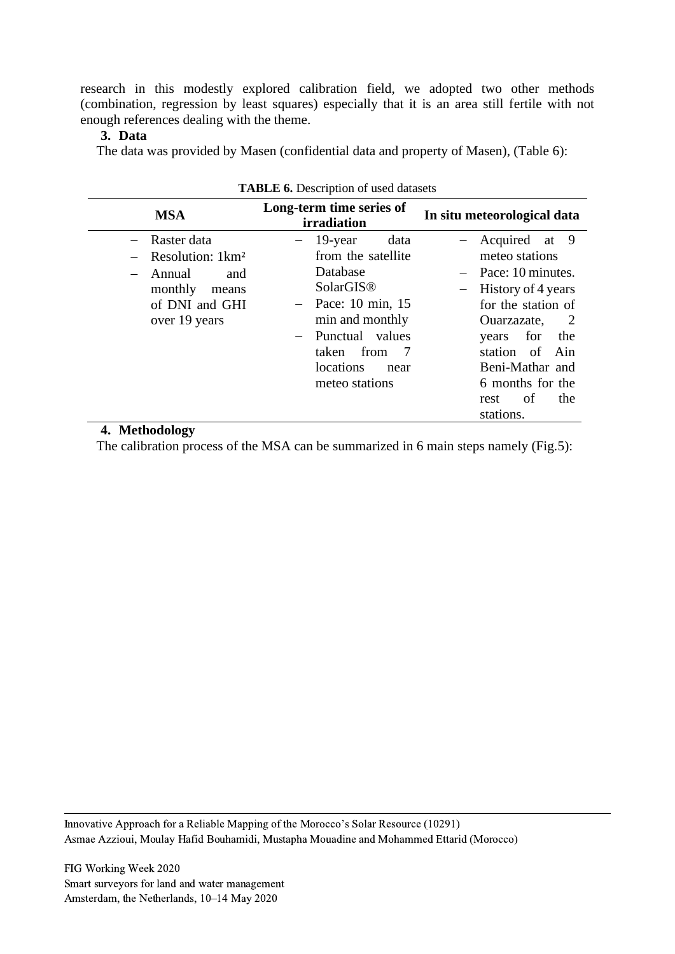research in this modestly explored calibration field, we adopted two other methods (combination, regression by least squares) especially that it is an area still fertile with not enough references dealing with the theme.

### **3. Data**

The data was provided by Masen (confidential data and property of Masen), (Table 6):

|                                                              | <b>THERE OF D'OSCHARGH OF GOOG GARGOLO</b>                                                                                                         |                                                                                                                                                           |
|--------------------------------------------------------------|----------------------------------------------------------------------------------------------------------------------------------------------------|-----------------------------------------------------------------------------------------------------------------------------------------------------------|
| <b>MSA</b>                                                   | Long-term time series of<br>irradiation                                                                                                            | In situ meteorological data                                                                                                                               |
| - Raster data<br>$-$ Resolution: 1 $km^2$<br>- Annual<br>and | 19-year<br>data<br>from the satellite<br>Database                                                                                                  | - Acquired at 9<br>meteo stations<br>$-$ Pace: 10 minutes.                                                                                                |
| monthly<br>means<br>of DNI and GHI<br>over 19 years          | SolarGIS <sup>®</sup><br>$-$ Pace: 10 min, 15<br>min and monthly<br>Punctual values<br>from<br>taken<br>- 7<br>locations<br>near<br>meteo stations | History of 4 years<br>for the station of<br>Ouarzazate,<br>$\overline{2}$<br>for<br>the<br>years<br>station of Ain<br>Beni-Mathar and<br>6 months for the |
|                                                              |                                                                                                                                                    | of<br>the<br>rest<br>stations.                                                                                                                            |

# **TABLE 6.** Description of used datasets

# **4. Methodology**

The calibration process of the MSA can be summarized in 6 main steps namely (Fig.5):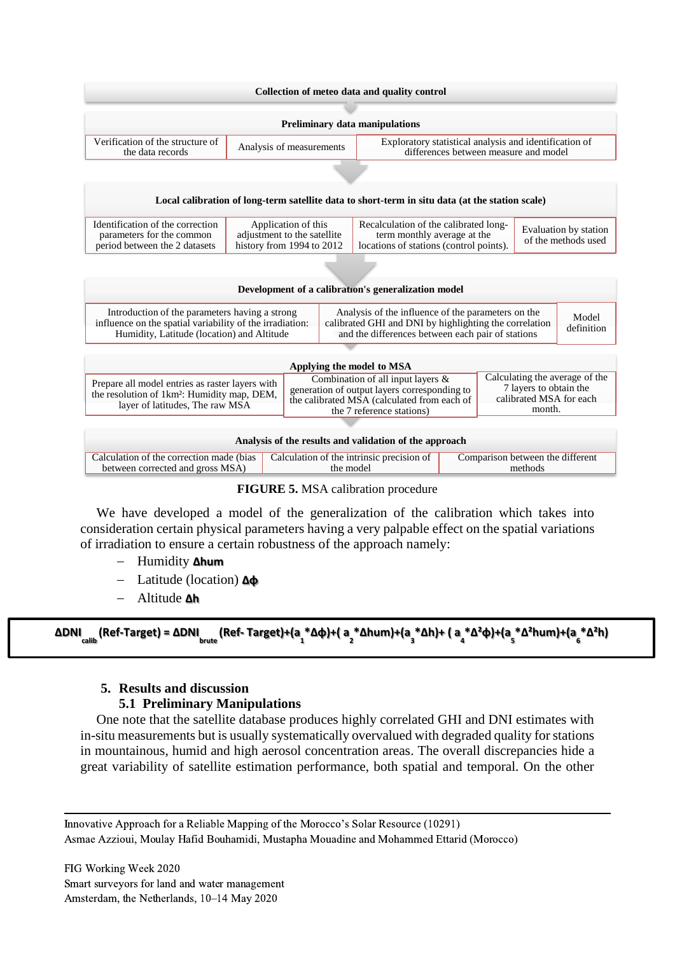



We have developed a model of the generalization of the calibration which takes into consideration certain physical parameters having a very palpable effect on the spatial variations of irradiation to ensure a certain robustness of the approach namely:

- − Humidity **∆hum**
- − Latitude (location) **∆φ**
- − Altitude **∆h**

```
ΔDNI<sub>calib</sub> (Ref-Target) = ΔDNI<sub>brute</sub> (Ref- Target)+(a<sub>,</sub> *Δφ)+( a<sub>,</sub> *Δhum)+(a<sub>,</sub> *Δh)+ ( a<sub>,</sub> *Δ<sup>2</sup>φ)+(a<sub>,</sub> *Δ<sup>2</sup>hum)+(a<sub>,</sub> *Δ<sup>2</sup>h)
```
### **5. Results and discussion**

### **5.1 Preliminary Manipulations**

One note that the satellite database produces highly correlated GHI and DNI estimates with in-situ measurements but is usually systematically overvalued with degraded quality for stations in mountainous, humid and high aerosol concentration areas. The overall discrepancies hide a great variability of satellite estimation performance, both spatial and temporal. On the other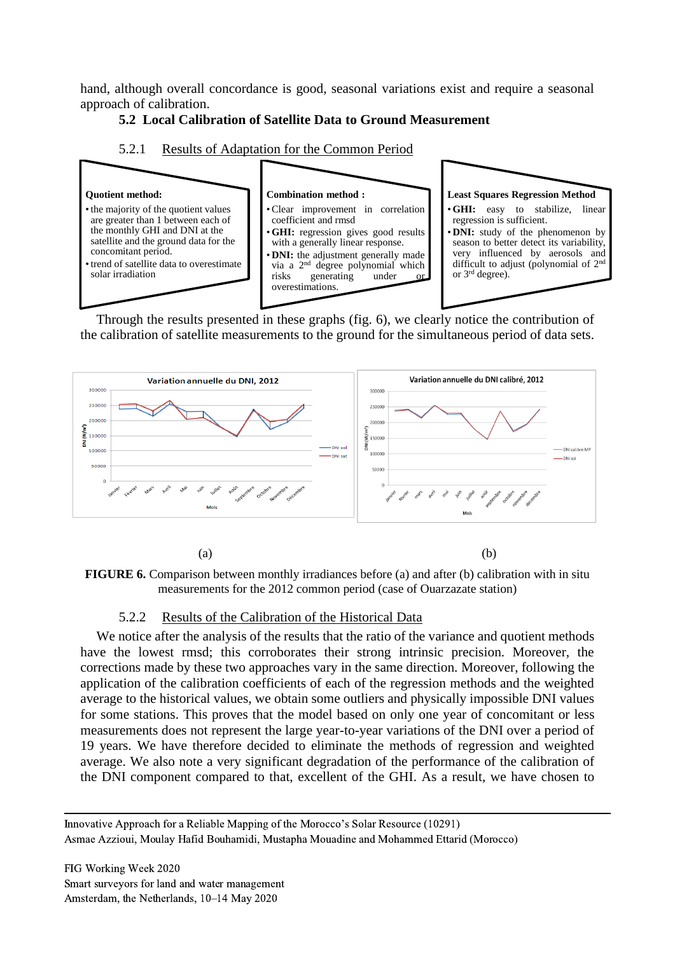hand, although overall concordance is good, seasonal variations exist and require a seasonal approach of calibration.

# **5.2 Local Calibration of Satellite Data to Ground Measurement**





Through the results presented in these graphs (fig. 6), we clearly notice the contribution of the calibration of satellite measurements to the ground for the simultaneous period of data sets.

![](_page_10_Figure_5.jpeg)

 $(a)$  (b)

**FIGURE 6.** Comparison between monthly irradiances before (a) and after (b) calibration with in situ measurements for the 2012 common period (case of Ouarzazate station)

# 5.2.2 Results of the Calibration of the Historical Data

We notice after the analysis of the results that the ratio of the variance and quotient methods have the lowest rmsd; this corroborates their strong intrinsic precision. Moreover, the corrections made by these two approaches vary in the same direction. Moreover, following the application of the calibration coefficients of each of the regression methods and the weighted average to the historical values, we obtain some outliers and physically impossible DNI values for some stations. This proves that the model based on only one year of concomitant or less measurements does not represent the large year-to-year variations of the DNI over a period of 19 years. We have therefore decided to eliminate the methods of regression and weighted average. We also note a very significant degradation of the performance of the calibration of the DNI component compared to that, excellent of the GHI. As a result, we have chosen to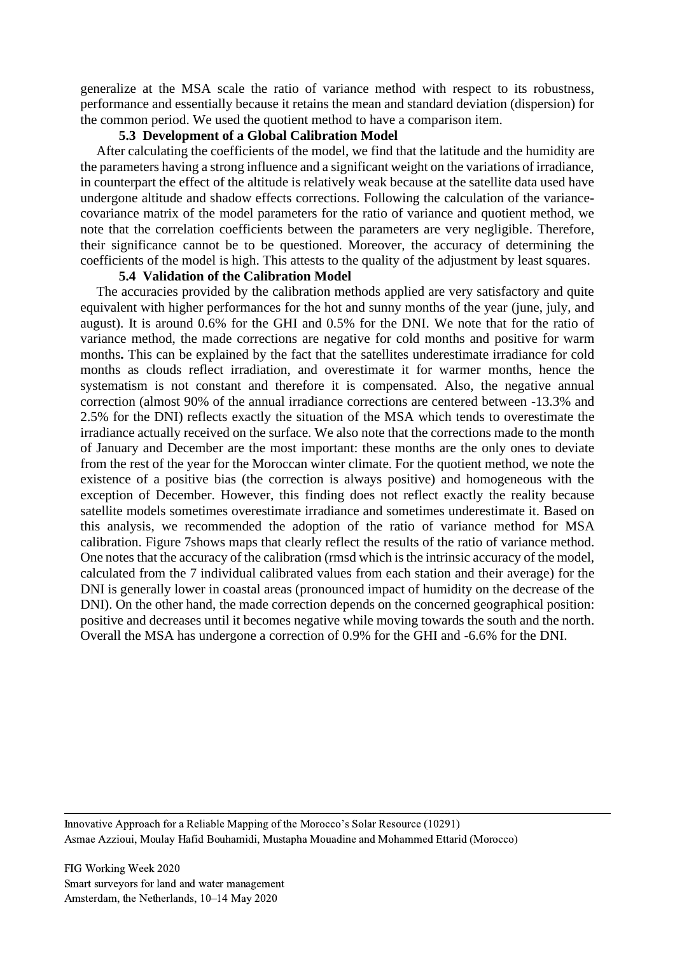generalize at the MSA scale the ratio of variance method with respect to its robustness, performance and essentially because it retains the mean and standard deviation (dispersion) for the common period. We used the quotient method to have a comparison item.

#### **5.3 Development of a Global Calibration Model**

After calculating the coefficients of the model, we find that the latitude and the humidity are the parameters having a strong influence and a significant weight on the variations of irradiance, in counterpart the effect of the altitude is relatively weak because at the satellite data used have undergone altitude and shadow effects corrections. Following the calculation of the variancecovariance matrix of the model parameters for the ratio of variance and quotient method, we note that the correlation coefficients between the parameters are very negligible. Therefore, their significance cannot be to be questioned. Moreover, the accuracy of determining the coefficients of the model is high. This attests to the quality of the adjustment by least squares.

### **5.4 Validation of the Calibration Model**

The accuracies provided by the calibration methods applied are very satisfactory and quite equivalent with higher performances for the hot and sunny months of the year (june, july, and august). It is around 0.6% for the GHI and 0.5% for the DNI. We note that for the ratio of variance method, the made corrections are negative for cold months and positive for warm months**.** This can be explained by the fact that the satellites underestimate irradiance for cold months as clouds reflect irradiation, and overestimate it for warmer months, hence the systematism is not constant and therefore it is compensated. Also, the negative annual correction (almost 90% of the annual irradiance corrections are centered between -13.3% and 2.5% for the DNI) reflects exactly the situation of the MSA which tends to overestimate the irradiance actually received on the surface. We also note that the corrections made to the month of January and December are the most important: these months are the only ones to deviate from the rest of the year for the Moroccan winter climate. For the quotient method, we note the existence of a positive bias (the correction is always positive) and homogeneous with the exception of December. However, this finding does not reflect exactly the reality because satellite models sometimes overestimate irradiance and sometimes underestimate it. Based on this analysis, we recommended the adoption of the ratio of variance method for MSA calibration. Figure 7shows maps that clearly reflect the results of the ratio of variance method. One notes that the accuracy of the calibration (rmsd which is the intrinsic accuracy of the model, calculated from the 7 individual calibrated values from each station and their average) for the DNI is generally lower in coastal areas (pronounced impact of humidity on the decrease of the DNI). On the other hand, the made correction depends on the concerned geographical position: positive and decreases until it becomes negative while moving towards the south and the north. Overall the MSA has undergone a correction of 0.9% for the GHI and -6.6% for the DNI.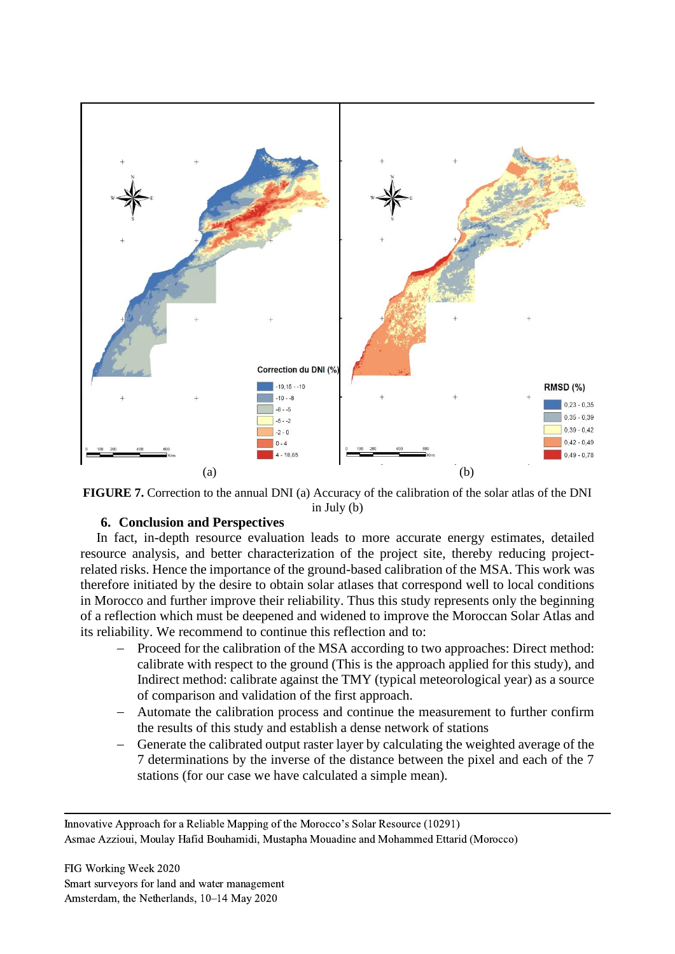![](_page_12_Figure_0.jpeg)

![](_page_12_Figure_1.jpeg)

# **6. Conclusion and Perspectives**

In fact, in-depth resource evaluation leads to more accurate energy estimates, detailed resource analysis, and better characterization of the project site, thereby reducing projectrelated risks. Hence the importance of the ground-based calibration of the MSA. This work was therefore initiated by the desire to obtain solar atlases that correspond well to local conditions in Morocco and further improve their reliability. Thus this study represents only the beginning of a reflection which must be deepened and widened to improve the Moroccan Solar Atlas and its reliability. We recommend to continue this reflection and to:

- Proceed for the calibration of the MSA according to two approaches: Direct method: calibrate with respect to the ground (This is the approach applied for this study), and Indirect method: calibrate against the TMY (typical meteorological year) as a source of comparison and validation of the first approach.
- − Automate the calibration process and continue the measurement to further confirm the results of this study and establish a dense network of stations
- − Generate the calibrated output raster layer by calculating the weighted average of the 7 determinations by the inverse of the distance between the pixel and each of the 7 stations (for our case we have calculated a simple mean).

Innovative Approach for a Reliable Mapping of the Morocco's Solar Resource (10291) Asmae Azzioui, Moulay Hafid Bouhamidi, Mustapha Mouadine and Mohammed Ettarid (Morocco)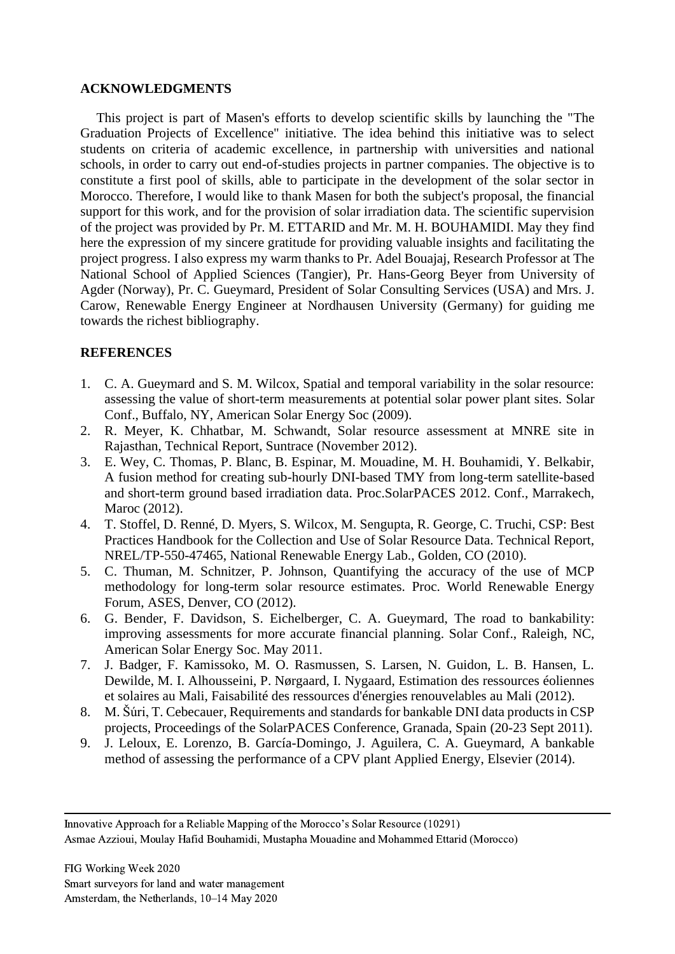### **ACKNOWLEDGMENTS**

This project is part of Masen's efforts to develop scientific skills by launching the "The Graduation Projects of Excellence" initiative. The idea behind this initiative was to select students on criteria of academic excellence, in partnership with universities and national schools, in order to carry out end-of-studies projects in partner companies. The objective is to constitute a first pool of skills, able to participate in the development of the solar sector in Morocco. Therefore, I would like to thank Masen for both the subject's proposal, the financial support for this work, and for the provision of solar irradiation data. The scientific supervision of the project was provided by Pr. M. ETTARID and Mr. M. H. BOUHAMIDI. May they find here the expression of my sincere gratitude for providing valuable insights and facilitating the project progress. I also express my warm thanks to Pr. Adel Bouajaj, Research Professor at The National School of Applied Sciences (Tangier), Pr. Hans-Georg Beyer from University of Agder (Norway), Pr. C. Gueymard, President of Solar Consulting Services (USA) and Mrs. J. Carow, Renewable Energy Engineer at Nordhausen University (Germany) for guiding me towards the richest bibliography.

# **REFERENCES**

- 1. C. A. Gueymard and S. M. Wilcox, Spatial and temporal variability in the solar resource: assessing the value of short-term measurements at potential solar power plant sites. Solar Conf., Buffalo, NY, American Solar Energy Soc (2009).
- 2. R. Meyer, K. Chhatbar, M. Schwandt, Solar resource assessment at MNRE site in Rajasthan, Technical Report, Suntrace (November 2012).
- 3. E. Wey, C. Thomas, P. Blanc, B. Espinar, M. Mouadine, M. H. Bouhamidi, Y. Belkabir, A fusion method for creating sub-hourly DNI-based TMY from long-term satellite-based and short-term ground based irradiation data. Proc.SolarPACES 2012. Conf., Marrakech, Maroc (2012).
- 4. T. Stoffel, D. Renné, D. Myers, S. Wilcox, M. Sengupta, R. George, C. Truchi, CSP: Best Practices Handbook for the Collection and Use of Solar Resource Data. Technical Report, NREL/TP-550-47465, National Renewable Energy Lab., Golden, CO (2010).
- 5. C. Thuman, M. Schnitzer, P. Johnson, Quantifying the accuracy of the use of MCP methodology for long-term solar resource estimates. Proc. World Renewable Energy Forum, ASES, Denver, CO (2012).
- 6. G. Bender, F. Davidson, S. Eichelberger, C. A. Gueymard, The road to bankability: improving assessments for more accurate financial planning. Solar Conf., Raleigh, NC, American Solar Energy Soc. May 2011.
- 7. J. Badger, F. Kamissoko, M. O. Rasmussen, S. Larsen, N. Guidon, L. B. Hansen, L. Dewilde, M. I. Alhousseini, P. Nørgaard, I. Nygaard, Estimation des ressources éoliennes et solaires au Mali, Faisabilité des ressources d'énergies renouvelables au Mali (2012).
- 8. M. Šúri, T. Cebecauer, Requirements and standards for bankable DNI data products in CSP projects, Proceedings of the SolarPACES Conference, Granada, Spain (20-23 Sept 2011).
- 9. J. Leloux, E. Lorenzo, B. García-Domingo, J. Aguilera, C. A. Gueymard, A bankable method of assessing the performance of a CPV plant Applied Energy, Elsevier (2014).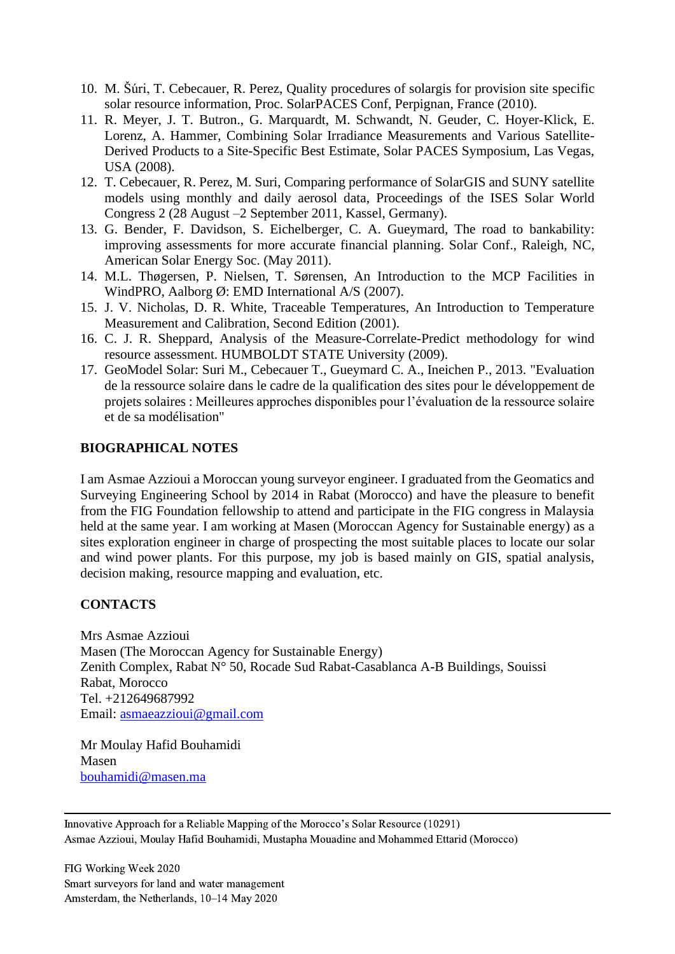- 10. M. Šúri, T. Cebecauer, R. Perez, Quality procedures of solargis for provision site specific solar resource information, Proc. SolarPACES Conf, Perpignan, France (2010).
- 11. R. Meyer, J. T. Butron., G. Marquardt, M. Schwandt, N. Geuder, C. Hoyer-Klick, E. Lorenz, A. Hammer, Combining Solar Irradiance Measurements and Various Satellite-Derived Products to a Site-Specific Best Estimate, Solar PACES Symposium, Las Vegas, USA (2008).
- 12. T. Cebecauer, R. Perez, M. Suri, Comparing performance of SolarGIS and SUNY satellite models using monthly and daily aerosol data, Proceedings of the ISES Solar World Congress 2 (28 August –2 September 2011, Kassel, Germany).
- 13. G. Bender, F. Davidson, S. Eichelberger, C. A. Gueymard, The road to bankability: improving assessments for more accurate financial planning. Solar Conf., Raleigh, NC, American Solar Energy Soc. (May 2011).
- 14. M.L. Thøgersen, P. Nielsen, T. Sørensen, An Introduction to the MCP Facilities in WindPRO, Aalborg Ø: EMD International A/S (2007).
- 15. J. V. Nicholas, D. R. White, Traceable Temperatures, An Introduction to Temperature Measurement and Calibration, Second Edition (2001).
- 16. C. J. R. Sheppard, Analysis of the Measure-Correlate-Predict methodology for wind resource assessment. HUMBOLDT STATE University (2009).
- 17. GeoModel Solar: Suri M., Cebecauer T., Gueymard C. A., Ineichen P., 2013. "Evaluation de la ressource solaire dans le cadre de la qualification des sites pour le développement de projets solaires : Meilleures approches disponibles pour l'évaluation de la ressource solaire et de sa modélisation"

# **BIOGRAPHICAL NOTES**

I am Asmae Azzioui a Moroccan young surveyor engineer. I graduated from the Geomatics and Surveying Engineering School by 2014 in Rabat (Morocco) and have the pleasure to benefit from the FIG Foundation fellowship to attend and participate in the FIG congress in Malaysia held at the same year. I am working at Masen (Moroccan Agency for Sustainable energy) as a sites exploration engineer in charge of prospecting the most suitable places to locate our solar and wind power plants. For this purpose, my job is based mainly on GIS, spatial analysis, decision making, resource mapping and evaluation, etc.

# **CONTACTS**

Mrs Asmae Azzioui Masen (The Moroccan Agency for Sustainable Energy) Zenith Complex, Rabat N° 50, Rocade Sud Rabat-Casablanca A-B Buildings, Souissi Rabat, Morocco Tel. +212649687992 Email: [asmaeazzioui@gmail.com](mailto:asmaeazzioui@gmail.com)

Mr Moulay Hafid Bouhamidi Masen [bouhamidi@masen.ma](mailto:bouhamidi@masen.ma)